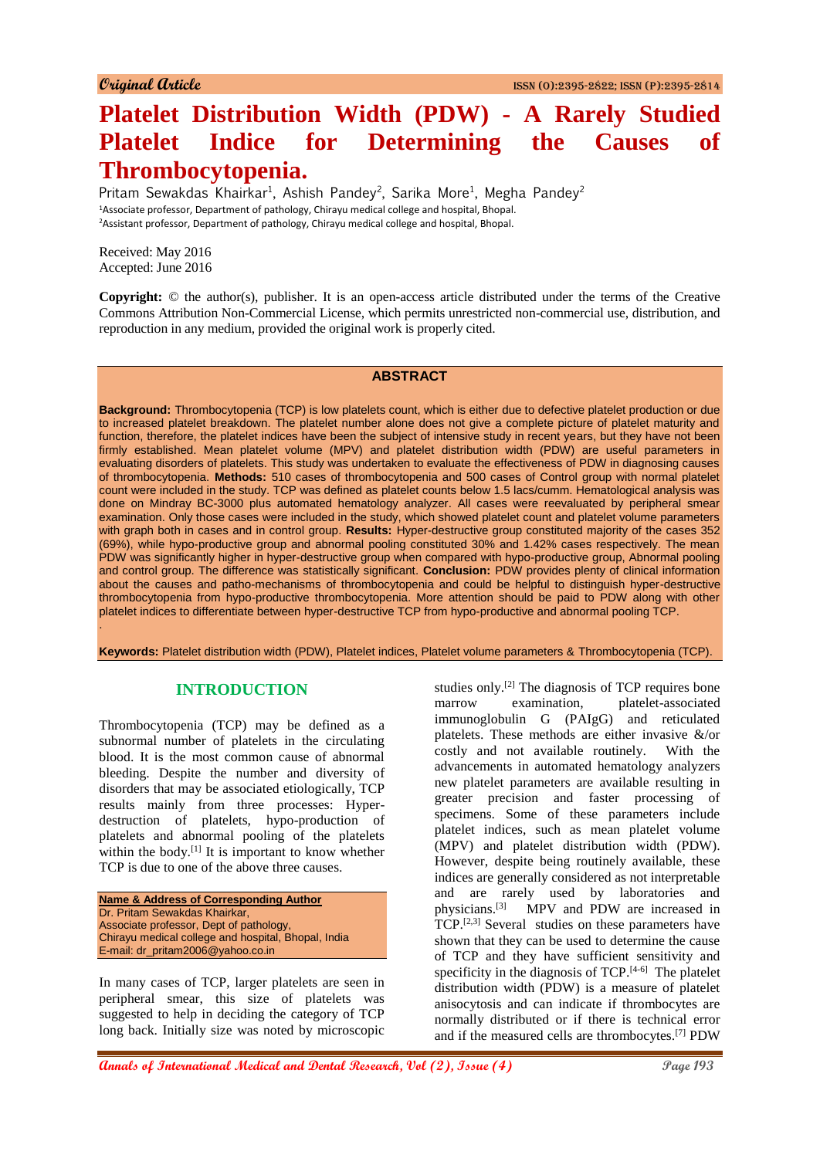# **Platelet Distribution Width (PDW) - A Rarely Studied Platelet Indice for Determining the Causes of Thrombocytopenia.**

Pritam Sewakdas Khairkar<sup>1</sup>, Ashish Pandey<sup>2</sup>, Sarika More<sup>1</sup>, Megha Pandey<sup>2</sup> <sup>1</sup>Associate professor, Department of pathology, Chirayu medical college and hospital, Bhopal. <sup>2</sup>Assistant professor, Department of pathology, Chirayu medical college and hospital, Bhopal.

Received: May 2016 Accepted: June 2016

.

**Copyright:** © the author(s), publisher. It is an open-access article distributed under the terms of the Creative Commons Attribution Non-Commercial License, which permits unrestricted non-commercial use, distribution, and reproduction in any medium, provided the original work is properly cited.

#### **ABSTRACT**

**Background:** Thrombocytopenia (TCP) is low platelets count, which is either due to defective platelet production or due to increased platelet breakdown. The platelet number alone does not give a complete picture of platelet maturity and function, therefore, the platelet indices have been the subject of intensive study in recent years, but they have not been firmly established. Mean platelet volume (MPV) and platelet distribution width (PDW) are useful parameters in evaluating disorders of platelets. This study was undertaken to evaluate the effectiveness of PDW in diagnosing causes of thrombocytopenia. **Methods:** 510 cases of thrombocytopenia and 500 cases of Control group with normal platelet count were included in the study. TCP was defined as platelet counts below 1.5 lacs/cumm. Hematological analysis was done on Mindray BC-3000 plus automated hematology analyzer. All cases were reevaluated by peripheral smear examination. Only those cases were included in the study, which showed platelet count and platelet volume parameters with graph both in cases and in control group. **Results:** Hyper-destructive group constituted majority of the cases 352 (69%), while hypo-productive group and abnormal pooling constituted 30% and 1.42% cases respectively. The mean PDW was significantly higher in hyper-destructive group when compared with hypo-productive group, Abnormal pooling and control group. The difference was statistically significant. **Conclusion:** PDW provides plenty of clinical information about the causes and patho-mechanisms of thrombocytopenia and could be helpful to distinguish hyper-destructive thrombocytopenia from hypo-productive thrombocytopenia. More attention should be paid to PDW along with other platelet indices to differentiate between hyper-destructive TCP from hypo-productive and abnormal pooling TCP.

**Keywords:** Platelet distribution width (PDW), Platelet indices, Platelet volume parameters & Thrombocytopenia (TCP).

## **INTRODUCTION**

Thrombocytopenia (TCP) may be defined as a subnormal number of platelets in the circulating blood. It is the most common cause of abnormal bleeding. Despite the number and diversity of disorders that may be associated etiologically, TCP results mainly from three processes: Hyperdestruction of platelets, hypo-production of platelets and abnormal pooling of the platelets within the body.<sup>[1]</sup> It is important to know whether TCP is due to one of the above three causes.

**Name & Address of Corresponding Author** Dr. Pritam Sewakdas Khairkar, Associate professor, Dept of pathology, Chirayu medical college and hospital, Bhopal, India E-mail: dr\_pritam2006@yahoo.co.in

In many cases of TCP, larger platelets are seen in peripheral smear, this size of platelets was suggested to help in deciding the category of TCP long back. Initially size was noted by microscopic

studies only.<sup>[2]</sup> The diagnosis of TCP requires bone marrow examination, platelet-associated immunoglobulin G (PAIgG) and reticulated platelets. These methods are either invasive &/or costly and not available routinely. With the advancements in automated hematology analyzers new platelet parameters are available resulting in greater precision and faster processing of specimens. Some of these parameters include platelet indices, such as mean platelet volume (MPV) and platelet distribution width (PDW). However, despite being routinely available, these indices are generally considered as not interpretable and are rarely used by laboratories and physicians.[3] MPV and PDW are increased in  $TCP.^[2,3]$  Several studies on these parameters have shown that they can be used to determine the cause of TCP and they have sufficient sensitivity and specificity in the diagnosis of  $TCP.^{[4-6]}$  The platelet distribution width (PDW) is a measure of platelet anisocytosis and can indicate if thrombocytes are normally distributed or if there is technical error and if the measured cells are thrombocytes.[7] PDW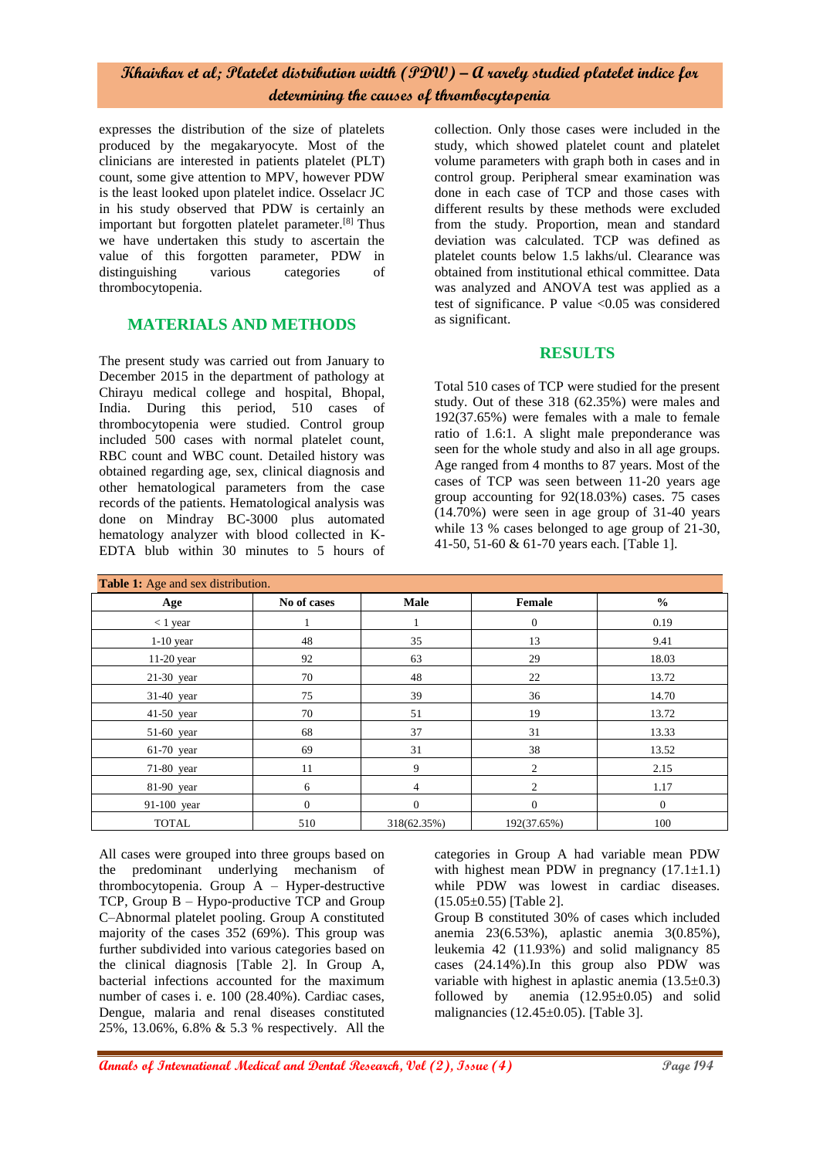expresses the distribution of the size of platelets produced by the megakaryocyte. Most of the clinicians are interested in patients platelet (PLT) count, some give attention to MPV, however PDW is the least looked upon platelet indice. Osselacr JC in his study observed that PDW is certainly an important but forgotten platelet parameter.[8] Thus we have undertaken this study to ascertain the value of this forgotten parameter, PDW in distinguishing various categories of thrombocytopenia.

## **MATERIALS AND METHODS**

The present study was carried out from January to December 2015 in the department of pathology at Chirayu medical college and hospital, Bhopal, India. During this period, 510 cases of thrombocytopenia were studied. Control group included 500 cases with normal platelet count, RBC count and WBC count. Detailed history was obtained regarding age, sex, clinical diagnosis and other hematological parameters from the case records of the patients. Hematological analysis was done on Mindray BC-3000 plus automated hematology analyzer with blood collected in K-EDTA blub within 30 minutes to 5 hours of

collection. Only those cases were included in the study, which showed platelet count and platelet volume parameters with graph both in cases and in control group. Peripheral smear examination was done in each case of TCP and those cases with different results by these methods were excluded from the study. Proportion, mean and standard deviation was calculated. TCP was defined as platelet counts below 1.5 lakhs/ul. Clearance was obtained from institutional ethical committee. Data was analyzed and ANOVA test was applied as a test of significance. P value <0.05 was considered as significant.

#### **RESULTS**

Total 510 cases of TCP were studied for the present study. Out of these 318 (62.35%) were males and 192(37.65%) were females with a male to female ratio of 1.6:1. A slight male preponderance was seen for the whole study and also in all age groups. Age ranged from 4 months to 87 years. Most of the cases of TCP was seen between 11-20 years age group accounting for 92(18.03%) cases. 75 cases (14.70%) were seen in age group of 31-40 years while 13 % cases belonged to age group of 21-30, 41-50, 51-60 & 61-70 years each. [Table 1].

| Table 1: Age and sex distribution. |              |             |                |              |
|------------------------------------|--------------|-------------|----------------|--------------|
| Age                                | No of cases  | Male        | Female         | $\%$         |
| $<$ 1 year                         |              |             | $\mathbf{0}$   | 0.19         |
| $1-10$ year                        | 48           | 35          | 13             | 9.41         |
| $11-20$ year                       | 92           | 63          | 29             | 18.03        |
| $21-30$ year                       | 70           | 48          | 22             | 13.72        |
| 31-40 year                         | 75           | 39          | 36             | 14.70        |
| 41-50 year                         | 70           | 51          | 19             | 13.72        |
| 51-60 year                         | 68           | 37          | 31             | 13.33        |
| $61-70$ year                       | 69           | 31          | 38             | 13.52        |
| $71-80$ year                       | 11           | 9           | 2              | 2.15         |
| 81-90 year                         | 6            | 4           | $\overline{2}$ | 1.17         |
| 91-100 year                        | $\mathbf{0}$ | $\Omega$    | $\mathbf{0}$   | $\mathbf{0}$ |
| <b>TOTAL</b>                       | 510          | 318(62.35%) | 192(37.65%)    | 100          |

All cases were grouped into three groups based on the predominant underlying mechanism of thrombocytopenia. Group A – Hyper-destructive TCP, Group B – Hypo-productive TCP and Group C–Abnormal platelet pooling. Group A constituted majority of the cases 352 (69%). This group was further subdivided into various categories based on the clinical diagnosis [Table 2]. In Group A, bacterial infections accounted for the maximum number of cases i. e. 100 (28.40%). Cardiac cases, Dengue, malaria and renal diseases constituted 25%, 13.06%, 6.8% & 5.3 % respectively. All the

categories in Group A had variable mean PDW with highest mean PDW in pregnancy  $(17.1 \pm 1.1)$ while PDW was lowest in cardiac diseases.  $(15.05\pm0.55)$  [Table 2].

Group B constituted 30% of cases which included anemia 23(6.53%), aplastic anemia 3(0.85%), leukemia 42 (11.93%) and solid malignancy 85 cases (24.14%).In this group also PDW was variable with highest in aplastic anemia  $(13.5\pm0.3)$ followed by anemia  $(12.95\pm0.05)$  and solid malignancies (12.45±0.05). [Table 3].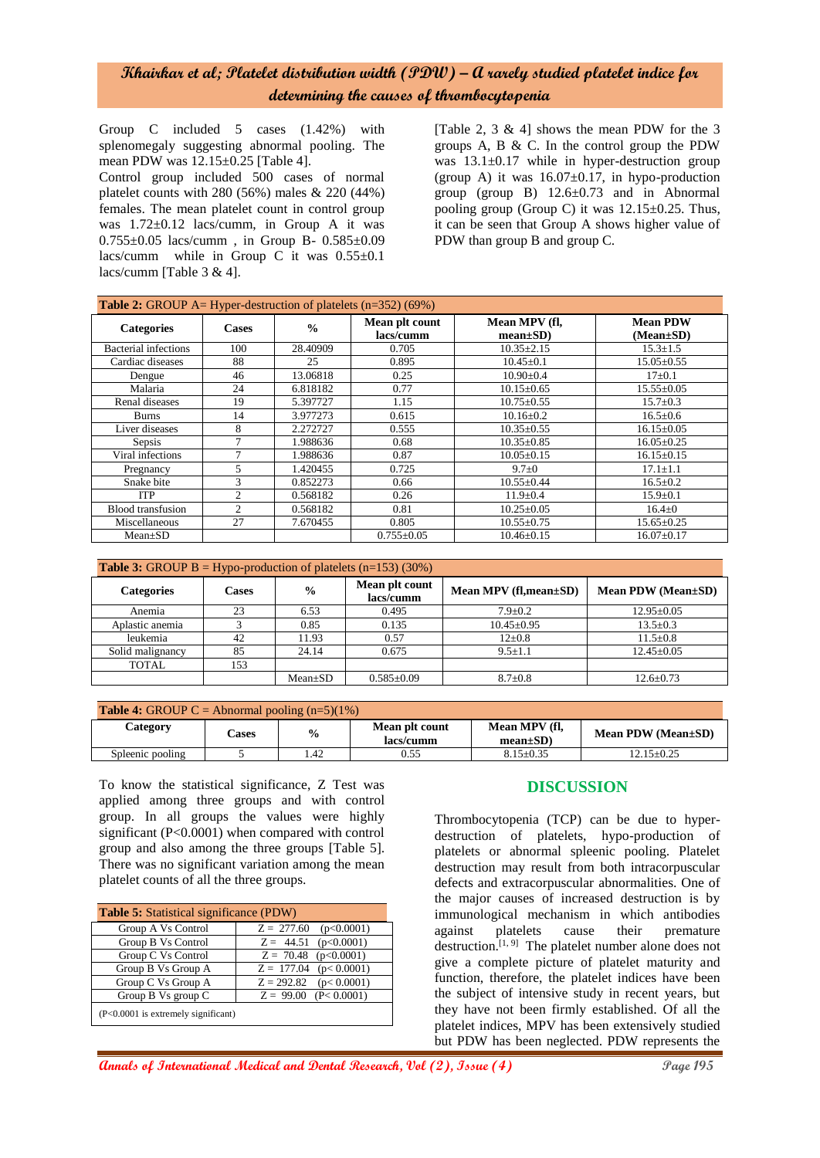Group C included 5 cases (1.42%) with splenomegaly suggesting abnormal pooling. The mean PDW was 12.15±0.25 [Table 4].

Control group included 500 cases of normal platelet counts with  $280 (56%)$  males  $& 220 (44%)$ females. The mean platelet count in control group was  $1.72 \pm 0.12$  lacs/cumm, in Group A it was 0.755±0.05 lacs/cumm , in Group B- 0.585±0.09 lacs/cumm while in Group C it was  $0.55\pm0.1$ lacs/cumm [Table 3 & 4].

[Table 2, 3 & 4] shows the mean PDW for the 3 groups A, B & C. In the control group the PDW was  $13.1\pm0.17$  while in hyper-destruction group (group A) it was  $16.07 \pm 0.17$ , in hypo-production group (group B)  $12.6 \pm 0.73$  and in Abnormal pooling group (Group C) it was  $12.15\pm0.25$ . Thus, it can be seen that Group A shows higher value of PDW than group B and group C.

| Table 2: GROUP A= Hyper-destruction of platelets (n=352) (69%) |                |               |                             |                                |                                    |
|----------------------------------------------------------------|----------------|---------------|-----------------------------|--------------------------------|------------------------------------|
| <b>Categories</b>                                              | <b>Cases</b>   | $\frac{6}{9}$ | Mean plt count<br>lacs/cumm | Mean MPV (fl.<br>$mean \pm SD$ | <b>Mean PDW</b><br>$(Mean \pm SD)$ |
| <b>Bacterial</b> infections                                    | 100            | 28.40909      | 0.705                       | $10.35 \pm 2.15$               | $15.3 \pm 1.5$                     |
| Cardiac diseases                                               | 88             | 25            | 0.895                       | $10.45 + 0.1$                  | $15.05 \pm 0.55$                   |
| Dengue                                                         | 46             | 13.06818      | 0.25                        | $10.90 \pm 0.4$                | $17 \pm 0.1$                       |
| Malaria                                                        | 24             | 6.818182      | 0.77                        | $10.15 + 0.65$                 | $15.55+0.05$                       |
| Renal diseases                                                 | 19             | 5.397727      | 1.15                        | $10.75 \pm 0.55$               | $15.7 \pm 0.3$                     |
| <b>Burns</b>                                                   | 14             | 3.977273      | 0.615                       | $10.16 \pm 0.2$                | $16.5 \pm 0.6$                     |
| Liver diseases                                                 | 8              | 2.272727      | 0.555                       | $10.35 \pm 0.55$               | $16.15 \pm 0.05$                   |
| Sepsis                                                         | $\mathcal{I}$  | 1.988636      | 0.68                        | $10.35 \pm 0.85$               | $16.05 \pm 0.25$                   |
| Viral infections                                               | 7              | 1.988636      | 0.87                        | $10.05 \pm 0.15$               | $16.15 \pm 0.15$                   |
| Pregnancy                                                      | 5              | 1.420455      | 0.725                       | $9.7 \pm 0$                    | $17.1 \pm 1.1$                     |
| Snake bite                                                     | 3              | 0.852273      | 0.66                        | $10.55 \pm 0.44$               | $16.5 \pm 0.2$                     |
| <b>ITP</b>                                                     | $\overline{c}$ | 0.568182      | 0.26                        | $11.9 \pm 0.4$                 | $15.9 \pm 0.1$                     |
| Blood transfusion                                              | $\overline{c}$ | 0.568182      | 0.81                        | $10.25 \pm 0.05$               | $16.4 \pm 0$                       |
| Miscellaneous                                                  | 27             | 7.670455      | 0.805                       | $10.55 \pm 0.75$               | $15.65 \pm 0.25$                   |
| $Mean \pm SD$                                                  |                |               | $0.755 \pm 0.05$            | $10.46 \pm 0.15$               | $16.07 \pm 0.17$                   |

| <b>Table 3:</b> GROUP $B = Hypo$ -production of platelets $(n=153)$ (30%) |       |               |                             |                        |                    |
|---------------------------------------------------------------------------|-------|---------------|-----------------------------|------------------------|--------------------|
| <b>Categories</b>                                                         | Cases | $\frac{0}{0}$ | Mean plt count<br>lacs/cumm | Mean MPV (fl, mean±SD) | Mean PDW (Mean±SD) |
| Anemia                                                                    | 23    | 6.53          | 0.495                       | $7.9 + 0.2$            | $12.95 \pm 0.05$   |
| Aplastic anemia                                                           |       | 0.85          | 0.135                       | $10.45 \pm 0.95$       | $13.5 \pm 0.3$     |
| leukemia                                                                  | 42    | 11.93         | 0.57                        | $12{\pm}0.8$           | $11.5 \pm 0.8$     |
| Solid malignancy                                                          | 85    | 24.14         | 0.675                       | $9.5 \pm 1.1$          | $12.45 \pm 0.05$   |
| <b>TOTAL</b>                                                              | 153   |               |                             |                        |                    |
|                                                                           |       | $Mean \pm SD$ | $0.585 \pm 0.09$            | $8.7 \pm 0.8$          | $12.6 \pm 0.73$    |

| <b>Table 4:</b> GROUP C = Abnormal pooling $(n=5)(1\%)$ |       |               |                             |                                |                    |
|---------------------------------------------------------|-------|---------------|-----------------------------|--------------------------------|--------------------|
| Category                                                | Cases | $\frac{6}{9}$ | Mean plt count<br>lacs/cumm | Mean MPV (fl,<br>$mean \pm SD$ | Mean PDW (Mean±SD) |
| Spleenic pooling                                        |       | .42           | 0.55                        | $8.15 + 0.35$                  | $12.15 + 0.25$     |

To know the statistical significance, Z Test was applied among three groups and with control group. In all groups the values were highly significant (P<0.0001) when compared with control group and also among the three groups [Table 5]. There was no significant variation among the mean platelet counts of all the three groups.

| <b>Table 5:</b> Statistical significance (PDW) |                            |  |  |  |
|------------------------------------------------|----------------------------|--|--|--|
| Group A Vs Control                             | $Z = 277.60$<br>(p<0.0001) |  |  |  |
| Group B Vs Control                             | $Z = 44.51$ (p<0.0001)     |  |  |  |
| Group C Vs Control                             | $Z = 70.48$ (p<0.0001)     |  |  |  |
| Group B Vs Group A                             | $Z = 177.04$ (p< 0.0001)   |  |  |  |
| Group C Vs Group A                             | $Z = 292.82$ (p< 0.0001)   |  |  |  |
| Group B Vs group C                             | $Z = 99.00$ (P< 0.0001)    |  |  |  |
| $(P<0.0001$ is extremely significant)          |                            |  |  |  |

## **DISCUSSION**

Thrombocytopenia (TCP) can be due to hyperdestruction of platelets, hypo-production of platelets or abnormal spleenic pooling. Platelet destruction may result from both intracorpuscular defects and extracorpuscular abnormalities. One of the major causes of increased destruction is by immunological mechanism in which antibodies against platelets cause their premature destruction.<sup>[1, 9]</sup> The platelet number alone does not give a complete picture of platelet maturity and function, therefore, the platelet indices have been the subject of intensive study in recent years, but they have not been firmly established. Of all the platelet indices, MPV has been extensively studied but PDW has been neglected. PDW represents the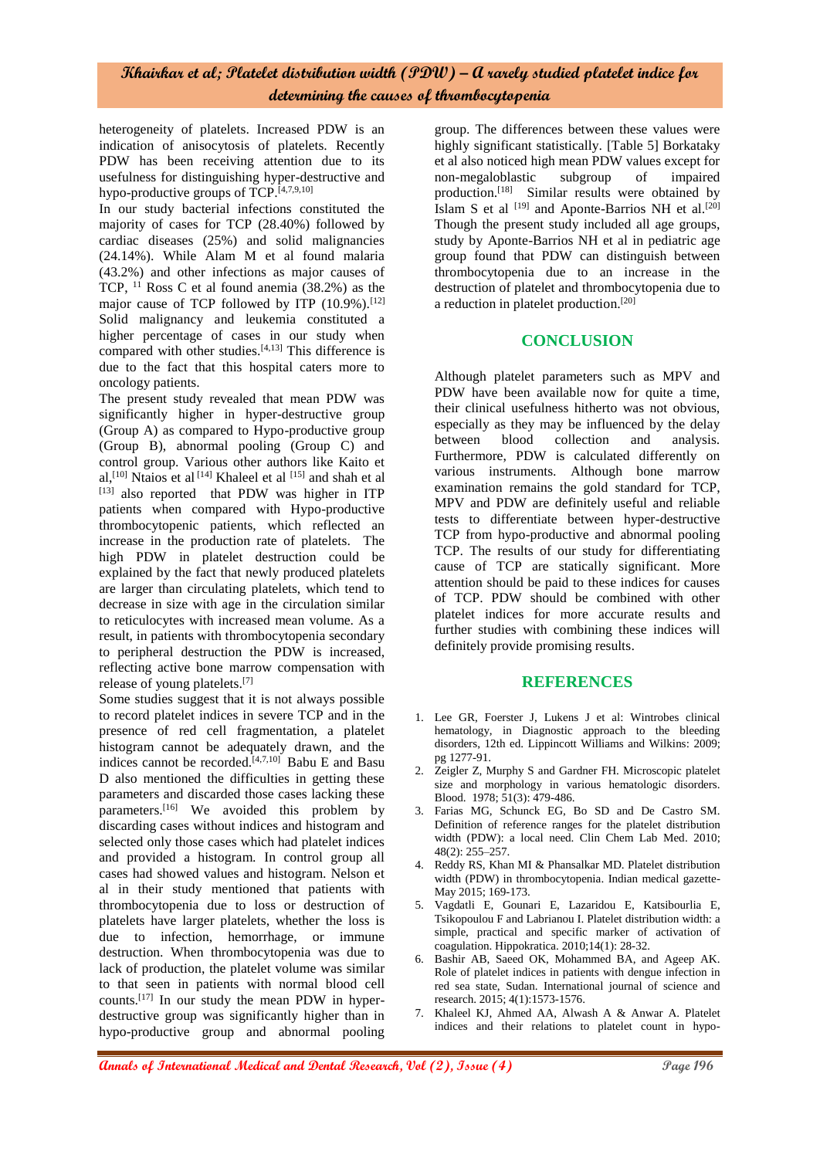heterogeneity of platelets. Increased PDW is an indication of anisocytosis of platelets. Recently PDW has been receiving attention due to its usefulness for distinguishing hyper-destructive and hypo-productive groups of  $TCP.^{[4,7,9,10]}$ 

In our study bacterial infections constituted the majority of cases for TCP (28.40%) followed by cardiac diseases (25%) and solid malignancies (24.14%). While Alam M et al found malaria (43.2%) and other infections as major causes of TCP, <sup>11</sup> Ross C et al found anemia (38.2%) as the major cause of TCP followed by ITP  $(10.9\%)$ .<sup>[12]</sup> Solid malignancy and leukemia constituted a higher percentage of cases in our study when compared with other studies.<sup>[4,13]</sup> This difference is due to the fact that this hospital caters more to oncology patients.

The present study revealed that mean PDW was significantly higher in hyper-destructive group (Group A) as compared to Hypo-productive group (Group B), abnormal pooling (Group C) and control group. Various other authors like Kaito et al,<sup>[10]</sup> Ntaios et al<sup>[14]</sup> Khaleel et al<sup>[15]</sup> and shah et al  $^{[13]}$  also reported that PDW was higher in ITP patients when compared with Hypo-productive thrombocytopenic patients, which reflected an increase in the production rate of platelets. The high PDW in platelet destruction could be explained by the fact that newly produced platelets are larger than circulating platelets, which tend to decrease in size with age in the circulation similar to reticulocytes with increased mean volume. As a result, in patients with thrombocytopenia secondary to peripheral destruction the PDW is increased, reflecting active bone marrow compensation with release of young platelets.[7]

Some studies suggest that it is not always possible to record platelet indices in severe TCP and in the presence of red cell fragmentation, a platelet histogram cannot be adequately drawn, and the indices cannot be recorded.<sup>[4,7,10]</sup> Babu E and Basu D also mentioned the difficulties in getting these parameters and discarded those cases lacking these parameters.<sup>[16]</sup> We avoided this problem by discarding cases without indices and histogram and selected only those cases which had platelet indices and provided a histogram. In control group all cases had showed values and histogram. Nelson et al in their study mentioned that patients with thrombocytopenia due to loss or destruction of platelets have larger platelets, whether the loss is due to infection, hemorrhage, or immune destruction. When thrombocytopenia was due to lack of production, the platelet volume was similar to that seen in patients with normal blood cell counts.[17] In our study the mean PDW in hyperdestructive group was significantly higher than in hypo-productive group and abnormal pooling

group. The differences between these values were highly significant statistically. [Table 5] Borkataky et al also noticed high mean PDW values except for non-megaloblastic subgroup of impaired production.<sup>[18]</sup> Similar results were obtained by Islam S et al  $^{[19]}$  and Aponte-Barrios NH et al.<sup>[20]</sup> Though the present study included all age groups, study by Aponte-Barrios NH et al in pediatric age group found that PDW can distinguish between thrombocytopenia due to an increase in the destruction of platelet and thrombocytopenia due to a reduction in platelet production.<sup>[20]</sup>

## **CONCLUSION**

Although platelet parameters such as MPV and PDW have been available now for quite a time, their clinical usefulness hitherto was not obvious, especially as they may be influenced by the delay between blood collection and analysis. Furthermore, PDW is calculated differently on various instruments. Although bone marrow examination remains the gold standard for TCP, MPV and PDW are definitely useful and reliable tests to differentiate between hyper-destructive TCP from hypo-productive and abnormal pooling TCP. The results of our study for differentiating cause of TCP are statically significant. More attention should be paid to these indices for causes of TCP. PDW should be combined with other platelet indices for more accurate results and further studies with combining these indices will definitely provide promising results.

## **REFERENCES**

- 1. Lee GR, Foerster J, Lukens J et al: Wintrobes clinical hematology, in Diagnostic approach to the bleeding disorders, 12th ed. Lippincott Williams and Wilkins: 2009; pg 1277-91.
- 2. Zeigler Z, Murphy S and Gardner FH. Microscopic platelet size and morphology in various hematologic disorders. Blood. 1978; 51(3): 479-486.
- 3. Farias MG, Schunck EG, Bo SD and De Castro SM. Definition of reference ranges for the platelet distribution width (PDW): a local need. Clin Chem Lab Med. 2010; 48(2): 255–257.
- 4. Reddy RS, Khan MI & Phansalkar MD. Platelet distribution width (PDW) in thrombocytopenia. Indian medical gazette-May 2015; 169-173.
- 5. Vagdatli E, Gounari E, Lazaridou E, Katsibourlia E, Tsikopoulou F and Labrianou I. Platelet distribution width: a simple, practical and specific marker of activation of coagulation. Hippokratica. 2010;14(1): 28-32.
- 6. Bashir AB, Saeed OK, Mohammed BA, and Ageep AK. Role of platelet indices in patients with dengue infection in red sea state, Sudan. International journal of science and research. 2015; 4(1):1573-1576.
- 7. Khaleel KJ, Ahmed AA, Alwash A & Anwar A. Platelet indices and their relations to platelet count in hypo-